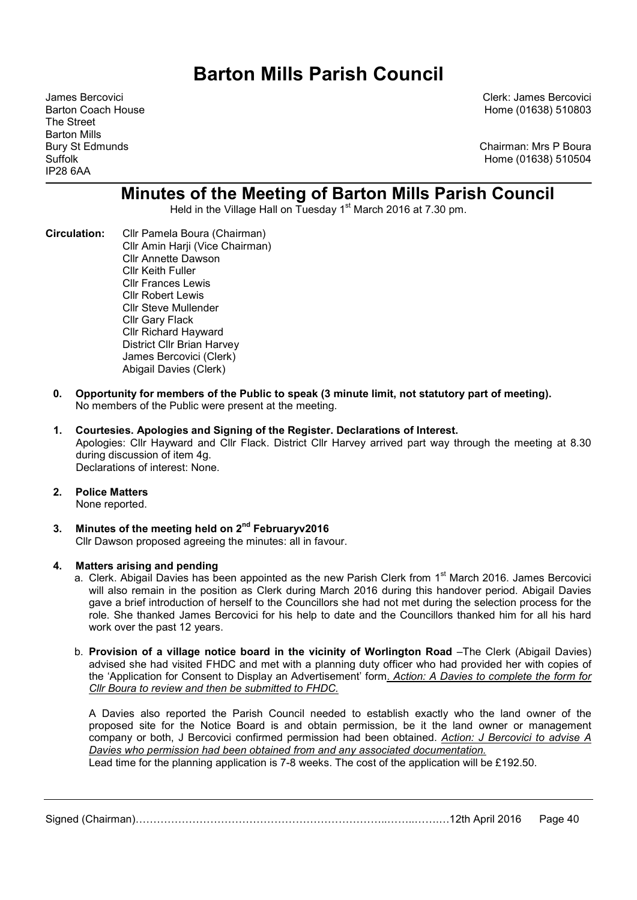# Barton Mills Parish Council

The Street Barton Mills IP28 6AA

James Bercovici Clerk: James Bercovici Barton Coach House Home (01638) 510803

Bury St Edmunds **Chairman: Mrs P Boura** Suffolk Home (01638) 510504

# Minutes of the Meeting of Barton Mills Parish Council

Held in the Village Hall on Tuesday 1<sup>st</sup> March 2016 at 7.30 pm.

- Circulation: Cllr Pamela Boura (Chairman) Cllr Amin Harji (Vice Chairman) Cllr Annette Dawson Cllr Keith Fuller Cllr Frances Lewis Cllr Robert Lewis Cllr Steve Mullender Cllr Gary Flack Cllr Richard Hayward District Cllr Brian Harvey James Bercovici (Clerk) Abigail Davies (Clerk)
	- 0. Opportunity for members of the Public to speak (3 minute limit, not statutory part of meeting). No members of the Public were present at the meeting.
	- 1. Courtesies. Apologies and Signing of the Register. Declarations of Interest. Apologies: Cllr Hayward and Cllr Flack. District Cllr Harvey arrived part way through the meeting at 8.30 during discussion of item 4g. Declarations of interest: None.
	- 2. Police Matters

None reported.

3. Minutes of the meeting held on  $2^{nd}$  Februaryv2016 Cllr Dawson proposed agreeing the minutes: all in favour.

#### 4. Matters arising and pending

- a. Clerk. Abigail Davies has been appointed as the new Parish Clerk from 1<sup>st</sup> March 2016. James Bercovici will also remain in the position as Clerk during March 2016 during this handover period. Abigail Davies gave a brief introduction of herself to the Councillors she had not met during the selection process for the role. She thanked James Bercovici for his help to date and the Councillors thanked him for all his hard work over the past 12 years.
- b. Provision of a village notice board in the vicinity of Worlington Road –The Clerk (Abigail Davies) advised she had visited FHDC and met with a planning duty officer who had provided her with copies of the 'Application for Consent to Display an Advertisement' form. Action: A Davies to complete the form for Cllr Boura to review and then be submitted to FHDC.

A Davies also reported the Parish Council needed to establish exactly who the land owner of the proposed site for the Notice Board is and obtain permission, be it the land owner or management company or both, J Bercovici confirmed permission had been obtained. Action: J Bercovici to advise A Davies who permission had been obtained from and any associated documentation.

Lead time for the planning application is 7-8 weeks. The cost of the application will be £192.50.

Signed (Chairman)……………………………………………………………..……..…….…12th April 2016 Page 40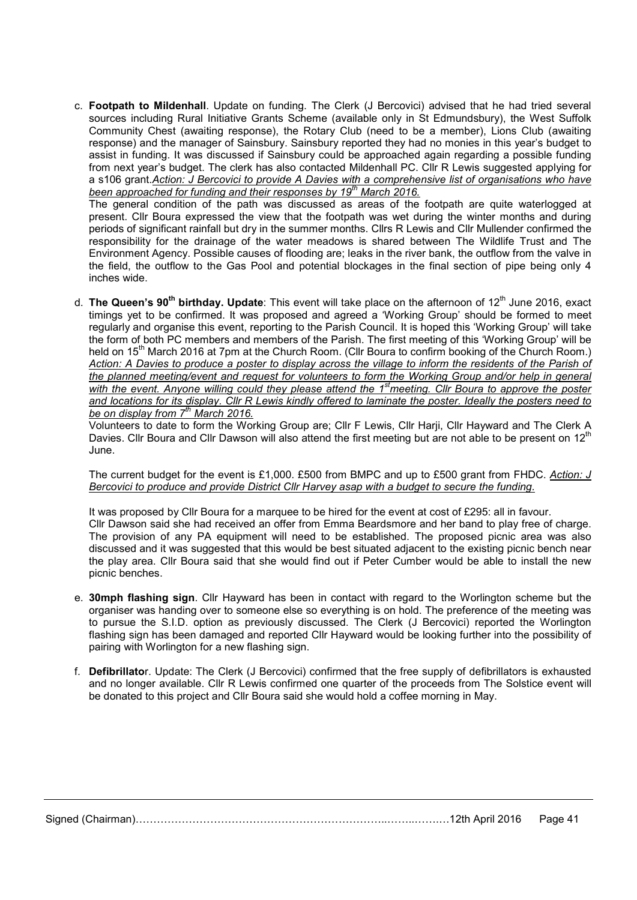c. Footpath to Mildenhall. Update on funding. The Clerk (J Bercovici) advised that he had tried several sources including Rural Initiative Grants Scheme (available only in St Edmundsbury), the West Suffolk Community Chest (awaiting response), the Rotary Club (need to be a member), Lions Club (awaiting response) and the manager of Sainsbury. Sainsbury reported they had no monies in this year's budget to assist in funding. It was discussed if Sainsbury could be approached again regarding a possible funding from next year's budget. The clerk has also contacted Mildenhall PC. Cllr R Lewis suggested applying for a s106 grant.Action: J Bercovici to provide A Davies with a comprehensive list of organisations who have been approached for funding and their responses by  $19<sup>th</sup>$  March 2016.

The general condition of the path was discussed as areas of the footpath are quite waterlogged at present. Cllr Boura expressed the view that the footpath was wet during the winter months and during periods of significant rainfall but dry in the summer months. Cllrs R Lewis and Cllr Mullender confirmed the responsibility for the drainage of the water meadows is shared between The Wildlife Trust and The Environment Agency. Possible causes of flooding are; leaks in the river bank, the outflow from the valve in the field, the outflow to the Gas Pool and potential blockages in the final section of pipe being only 4 inches wide.

d. The Queen's 90<sup>th</sup> birthday. Update: This event will take place on the afternoon of 12<sup>th</sup> June 2016, exact timings yet to be confirmed. It was proposed and agreed a 'Working Group' should be formed to meet regularly and organise this event, reporting to the Parish Council. It is hoped this 'Working Group' will take the form of both PC members and members of the Parish. The first meeting of this 'Working Group' will be held on 15<sup>th</sup> March 2016 at 7pm at the Church Room. (Cllr Boura to confirm booking of the Church Room.) Action: A Davies to produce a poster to display across the village to inform the residents of the Parish of the planned meeting/event and request for volunteers to form the Working Group and/or help in general with the event. Anyone willing could they please attend the 1<sup>st</sup>meeting. Cllr Boura to approve the poster and locations for its display. Cllr R Lewis kindly offered to laminate the poster. Ideally the posters need to be on display from  $7<sup>th</sup>$  March 2016.

Volunteers to date to form the Working Group are; Cllr F Lewis, Cllr Harji, Cllr Hayward and The Clerk A Davies. Cllr Boura and Cllr Dawson will also attend the first meeting but are not able to be present on 12<sup>th</sup> June.

The current budget for the event is £1,000. £500 from BMPC and up to £500 grant from FHDC. Action: J Bercovici to produce and provide District Cllr Harvey asap with a budget to secure the funding.

It was proposed by Cllr Boura for a marquee to be hired for the event at cost of £295: all in favour. Cllr Dawson said she had received an offer from Emma Beardsmore and her band to play free of charge. The provision of any PA equipment will need to be established. The proposed picnic area was also discussed and it was suggested that this would be best situated adjacent to the existing picnic bench near the play area. Cllr Boura said that she would find out if Peter Cumber would be able to install the new picnic benches.

- e. 30mph flashing sign. Cllr Hayward has been in contact with regard to the Worlington scheme but the organiser was handing over to someone else so everything is on hold. The preference of the meeting was to pursue the S.I.D. option as previously discussed. The Clerk (J Bercovici) reported the Worlington flashing sign has been damaged and reported Cllr Hayward would be looking further into the possibility of pairing with Worlington for a new flashing sign.
- f. Defibrillator. Update: The Clerk (J Bercovici) confirmed that the free supply of defibrillators is exhausted and no longer available. Cllr R Lewis confirmed one quarter of the proceeds from The Solstice event will be donated to this project and Cllr Boura said she would hold a coffee morning in May.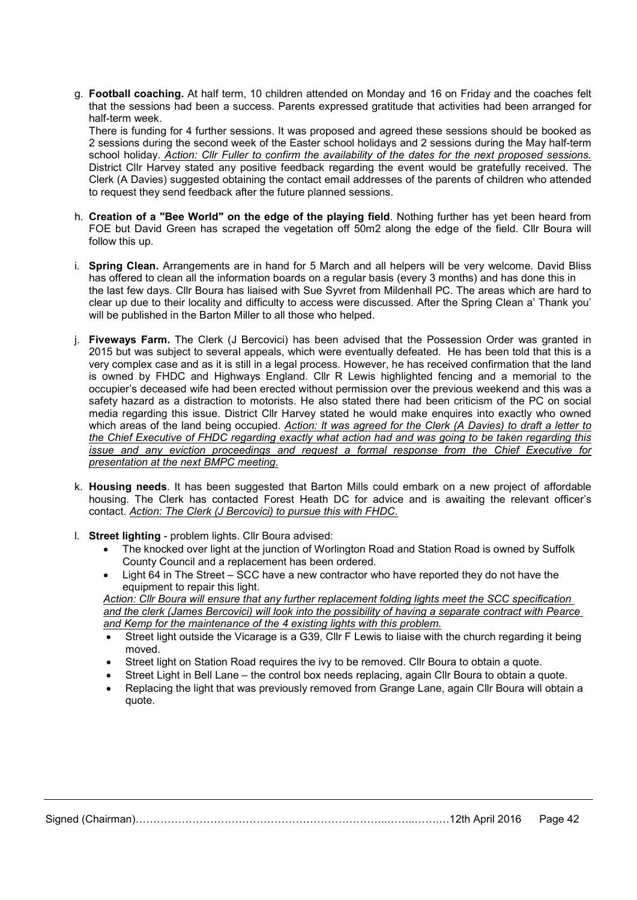g. Football coaching. At half term, 10 children attended on Monday and 16 on Friday and the coaches felt that the sessions had been a success. Parents expressed gratitude that activities had been arranged for half-term week.

There is funding for 4 further sessions. It was proposed and agreed these sessions should be booked as 2 sessions during the second week of the Easter school holidays and 2 sessions during the May half-term school holiday. Action: Cllr Fuller to confirm the availability of the dates for the next proposed sessions. District Cllr Harvey stated any positive feedback regarding the event would be gratefully received. The Clerk (A Davies) suggested obtaining the contact email addresses of the parents of children who attended to request they send feedback after the future planned sessions.

- h. Creation of a "Bee World" on the edge of the playing field. Nothing further has yet been heard from FOE but David Green has scraped the vegetation off 50m2 along the edge of the field. Cllr Boura will follow this up.
- i. Spring Clean. Arrangements are in hand for 5 March and all helpers will be very welcome. David Bliss has offered to clean all the information boards on a regular basis (every 3 months) and has done this in the last few days. Cllr Boura has liaised with Sue Syvret from Mildenhall PC. The areas which are hard to clear up due to their locality and difficulty to access were discussed. After the Spring Clean a' Thank you' will be published in the Barton Miller to all those who helped.
- i. Fiveways Farm. The Clerk (J Bercovici) has been advised that the Possession Order was granted in 2015 but was subject to several appeals, which were eventually defeated. He has been told that this is a very complex case and as it is still in a legal process. However, he has received confirmation that the land is owned by FHDC and Highways England. Cllr R Lewis highlighted fencing and a memorial to the occupier's deceased wife had been erected without permission over the previous weekend and this was a safety hazard as a distraction to motorists. He also stated there had been criticism of the PC on social media regarding this issue. District Cllr Harvey stated he would make enquires into exactly who owned which areas of the land being occupied. Action: It was agreed for the Clerk (A Davies) to draft a letter to the Chief Executive of FHDC regarding exactly what action had and was going to be taken regarding this issue and any eviction proceedings and request a formal response from the Chief Executive for presentation at the next BMPC meeting.
- k. Housing needs. It has been suggested that Barton Mills could embark on a new project of affordable housing. The Clerk has contacted Forest Heath DC for advice and is awaiting the relevant officer's contact. Action: The Clerk (J Bercovici) to pursue this with FHDC.
- l. Street lighting problem lights. Cllr Boura advised:
	- The knocked over light at the junction of Worlington Road and Station Road is owned by Suffolk County Council and a replacement has been ordered.
	- Light 64 in The Street SCC have a new contractor who have reported they do not have the equipment to repair this light.

Action: Cllr Boura will ensure that any further replacement folding lights meet the SCC specification and the clerk (James Bercovici) will look into the possibility of having a separate contract with Pearce and Kemp for the maintenance of the 4 existing lights with this problem.

- Street light outside the Vicarage is a G39, Cllr F Lewis to liaise with the church regarding it being moved.
- Street light on Station Road requires the ivy to be removed. Cllr Boura to obtain a quote.
- Street Light in Bell Lane the control box needs replacing, again Cllr Boura to obtain a quote.
- Replacing the light that was previously removed from Grange Lane, again Cllr Boura will obtain a quote.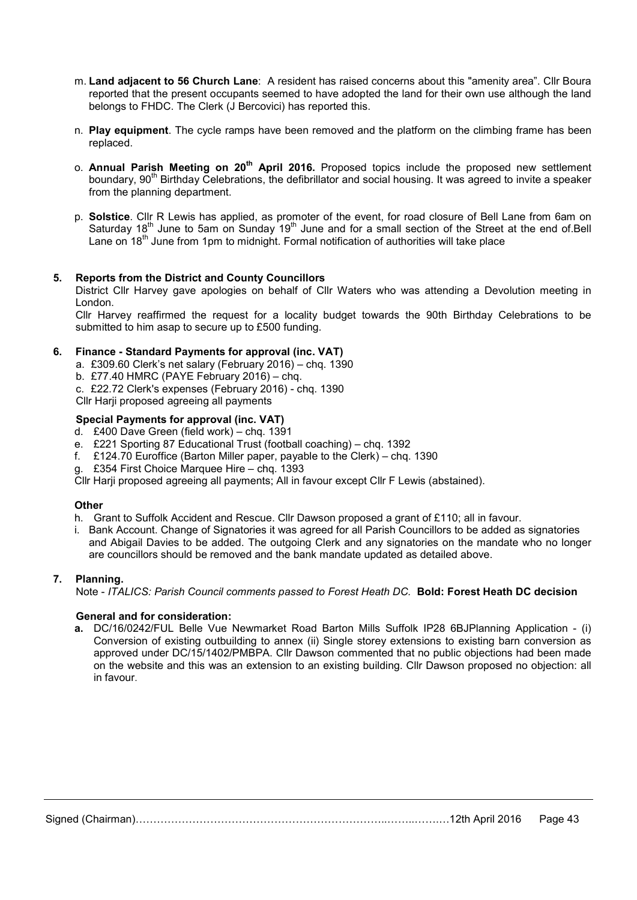- m. Land adjacent to 56 Church Lane: A resident has raised concerns about this "amenity area". Cllr Boura reported that the present occupants seemed to have adopted the land for their own use although the land belongs to FHDC. The Clerk (J Bercovici) has reported this.
- n. Play equipment. The cycle ramps have been removed and the platform on the climbing frame has been replaced.
- o. Annual Parish Meeting on 20<sup>th</sup> April 2016. Proposed topics include the proposed new settlement boundary, 90<sup>th</sup> Birthday Celebrations, the defibrillator and social housing. It was agreed to invite a speaker from the planning department.
- p. Solstice. Cllr R Lewis has applied, as promoter of the event, for road closure of Bell Lane from 6am on Saturday 18<sup>th</sup> June to 5am on Sunday 19<sup>th</sup> June and for a small section of the Street at the end of Bell Lane on 18<sup>th</sup> June from 1pm to midnight. Formal notification of authorities will take place

# 5. Reports from the District and County Councillors

District Cllr Harvey gave apologies on behalf of Cllr Waters who was attending a Devolution meeting in London.

Cllr Harvey reaffirmed the request for a locality budget towards the 90th Birthday Celebrations to be submitted to him asap to secure up to £500 funding.

#### 6. Finance - Standard Payments for approval (inc. VAT)

- a. £309.60 Clerk's net salary (February 2016) chq. 1390
- b. £77.40 HMRC (PAYE February 2016) chq.
- c. £22.72 Clerk's expenses (February 2016) chq. 1390

Cllr Harji proposed agreeing all payments

### Special Payments for approval (inc. VAT)

- d. £400 Dave Green (field work) chq. 1391
- e. £221 Sporting 87 Educational Trust (football coaching) chq. 1392
- f. £124.70 Euroffice (Barton Miller paper, payable to the Clerk) chq. 1390
- g. £354 First Choice Marquee Hire chq. 1393

Cllr Harji proposed agreeing all payments; All in favour except Cllr F Lewis (abstained).

#### **Other**

- h. Grant to Suffolk Accident and Rescue. Cllr Dawson proposed a grant of £110; all in favour.
- i. Bank Account. Change of Signatories it was agreed for all Parish Councillors to be added as signatories and Abigail Davies to be added. The outgoing Clerk and any signatories on the mandate who no longer are councillors should be removed and the bank mandate updated as detailed above.

#### 7. Planning.

Note - ITALICS: Parish Council comments passed to Forest Heath DC. Bold: Forest Heath DC decision

#### General and for consideration:

a. DC/16/0242/FUL Belle Vue Newmarket Road Barton Mills Suffolk IP28 6BJPlanning Application - (i) Conversion of existing outbuilding to annex (ii) Single storey extensions to existing barn conversion as approved under DC/15/1402/PMBPA. Cllr Dawson commented that no public objections had been made on the website and this was an extension to an existing building. Cllr Dawson proposed no objection: all in favour.